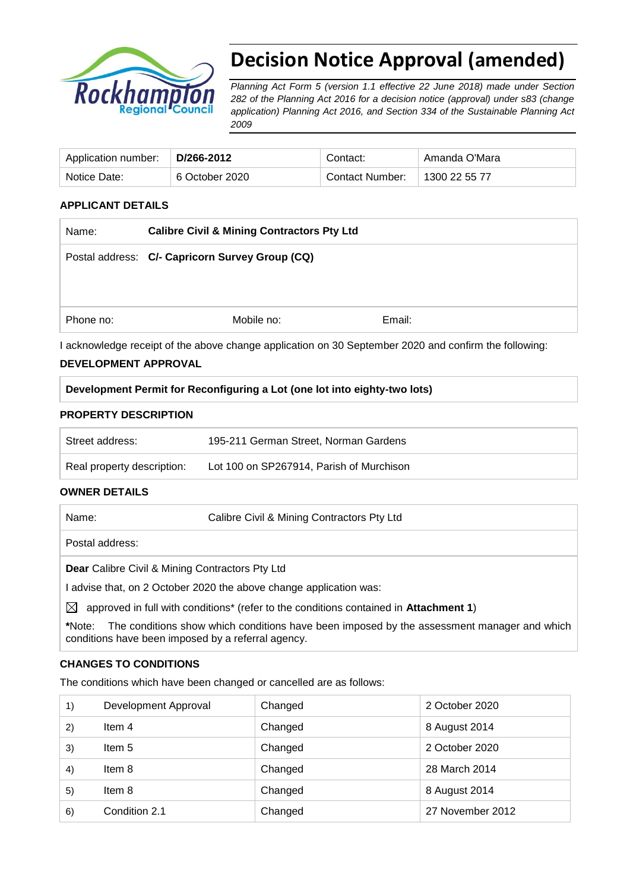

# **Decision Notice Approval (amended)**

*Planning Act Form 5 (version 1.1 effective 22 June 2018) made under Section 282 of the Planning Act 2016 for a decision notice (approval) under s83 (change application) Planning Act 2016, and Section 334 of the Sustainable Planning Act 2009*

| Application number: | D/266-2012     | Contact:        | Amanda O'Mara |
|---------------------|----------------|-----------------|---------------|
| Notice Date:        | 6 October 2020 | Contact Number: | 1300 22 55 77 |

#### **APPLICANT DETAILS**

| Name:     | <b>Calibre Civil &amp; Mining Contractors Pty Ltd</b> |        |  |
|-----------|-------------------------------------------------------|--------|--|
|           | Postal address: C/- Capricorn Survey Group (CQ)       |        |  |
|           |                                                       |        |  |
|           |                                                       |        |  |
| Phone no: | Mobile no:                                            | Email: |  |

I acknowledge receipt of the above change application on 30 September 2020 and confirm the following:

#### **DEVELOPMENT APPROVAL**

|  |  |  | Development Permit for Reconfiguring a Lot (one lot into eighty-two lots) |  |
|--|--|--|---------------------------------------------------------------------------|--|
|  |  |  |                                                                           |  |

#### **PROPERTY DESCRIPTION**

| Street address:            | 195-211 German Street, Norman Gardens    |
|----------------------------|------------------------------------------|
| Real property description: | Lot 100 on SP267914, Parish of Murchison |

## **OWNER DETAILS**

Name: Calibre Civil & Mining Contractors Pty Ltd

Postal address:

**Dear** Calibre Civil & Mining Contractors Pty Ltd

I advise that, on 2 October 2020 the above change application was:

 $\boxtimes$  approved in full with conditions<sup>\*</sup> (refer to the conditions contained in **Attachment 1**)

**\***Note:The conditions show which conditions have been imposed by the assessment manager and which conditions have been imposed by a referral agency.

#### **CHANGES TO CONDITIONS**

The conditions which have been changed or cancelled are as follows:

| 1)                | Development Approval | Changed | 2 October 2020   |
|-------------------|----------------------|---------|------------------|
| 2)                | Item 4               | Changed | 8 August 2014    |
| 3)                | ltem 5               | Changed | 2 October 2020   |
| $\left( 4\right)$ | Item 8               | Changed | 28 March 2014    |
| 5)                | Item 8               | Changed | 8 August 2014    |
| 6)                | Condition 2.1        | Changed | 27 November 2012 |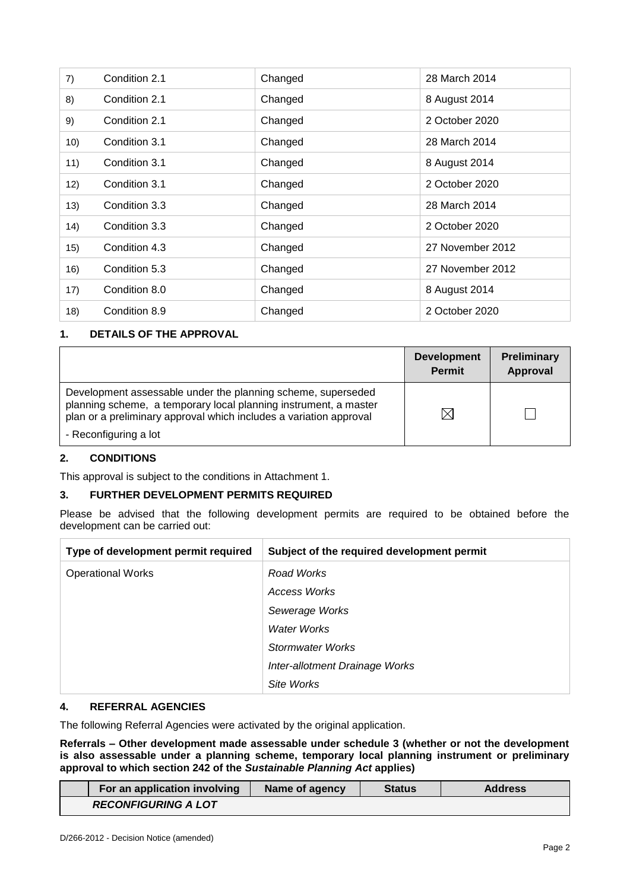| 7)   | Condition 2.1 | Changed | 28 March 2014    |
|------|---------------|---------|------------------|
| 8)   | Condition 2.1 | Changed | 8 August 2014    |
| 9)   | Condition 2.1 | Changed | 2 October 2020   |
| 10)  | Condition 3.1 | Changed | 28 March 2014    |
| 11)  | Condition 3.1 | Changed | 8 August 2014    |
| 12)  | Condition 3.1 | Changed | 2 October 2020   |
| 13)  | Condition 3.3 | Changed | 28 March 2014    |
| (14) | Condition 3.3 | Changed | 2 October 2020   |
| 15)  | Condition 4.3 | Changed | 27 November 2012 |
| 16)  | Condition 5.3 | Changed | 27 November 2012 |
| 17)  | Condition 8.0 | Changed | 8 August 2014    |
| 18)  | Condition 8.9 | Changed | 2 October 2020   |

## **1. DETAILS OF THE APPROVAL**

|                                                                                                                                                                                                        | <b>Development</b><br><b>Permit</b> | <b>Preliminary</b><br>Approval |
|--------------------------------------------------------------------------------------------------------------------------------------------------------------------------------------------------------|-------------------------------------|--------------------------------|
| Development assessable under the planning scheme, superseded<br>planning scheme, a temporary local planning instrument, a master<br>plan or a preliminary approval which includes a variation approval | M                                   |                                |
| - Reconfiguring a lot                                                                                                                                                                                  |                                     |                                |

#### **2. CONDITIONS**

This approval is subject to the conditions in Attachment 1.

#### **3. FURTHER DEVELOPMENT PERMITS REQUIRED**

Please be advised that the following development permits are required to be obtained before the development can be carried out:

| Type of development permit required | Subject of the required development permit |
|-------------------------------------|--------------------------------------------|
| <b>Operational Works</b>            | Road Works                                 |
|                                     | Access Works                               |
|                                     | Sewerage Works                             |
|                                     | <b>Water Works</b>                         |
|                                     | Stormwater Works                           |
|                                     | Inter-allotment Drainage Works             |
|                                     | Site Works                                 |

#### **4. REFERRAL AGENCIES**

The following Referral Agencies were activated by the original application.

**Referrals** *–* **Other development made assessable under schedule 3 (whether or not the development is also assessable under a planning scheme, temporary local planning instrument or preliminary approval to which section 242 of the** *Sustainable Planning Act* **applies)**

|                            | For an application involving | Name of agency | <b>Status</b> | <b>Address</b> |
|----------------------------|------------------------------|----------------|---------------|----------------|
| <b>RECONFIGURING A LOT</b> |                              |                |               |                |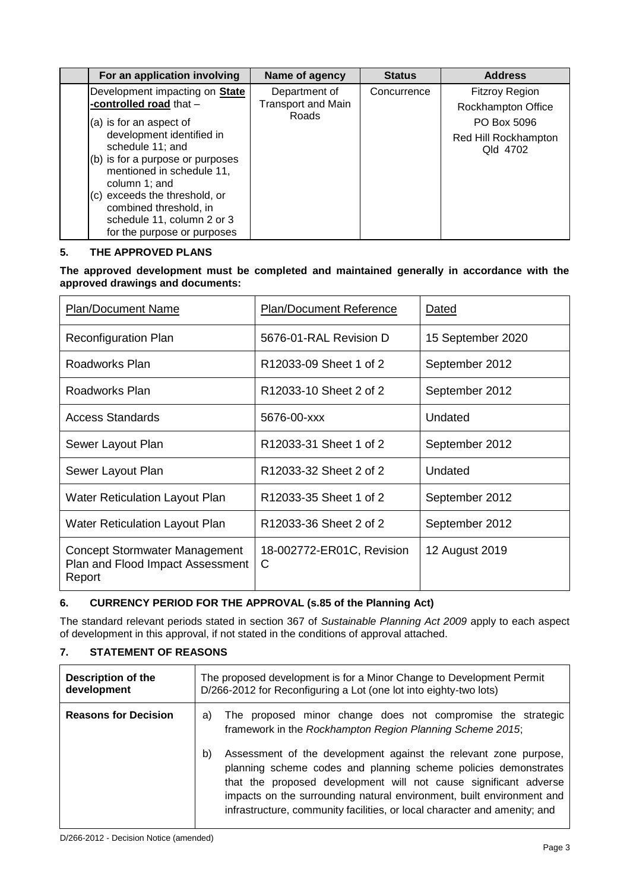| For an application involving                                                   | Name of agency            | <b>Status</b> | <b>Address</b>                   |
|--------------------------------------------------------------------------------|---------------------------|---------------|----------------------------------|
| Development impacting on <b>State</b>                                          | Department of             | Concurrence   | <b>Fitzroy Region</b>            |
| -controlled road that -                                                        | <b>Transport and Main</b> |               | Rockhampton Office               |
| (a) is for an aspect of                                                        | Roads                     |               | PO Box 5096                      |
| development identified in<br>schedule 11; and                                  |                           |               | Red Hill Rockhampton<br>Qld 4702 |
| (b) is for a purpose or purposes<br>mentioned in schedule 11,<br>column 1; and |                           |               |                                  |
| (c) exceeds the threshold, or<br>combined threshold, in                        |                           |               |                                  |
| schedule 11, column 2 or 3<br>for the purpose or purposes                      |                           |               |                                  |

### **5. THE APPROVED PLANS**

**The approved development must be completed and maintained generally in accordance with the approved drawings and documents:**

| <b>Plan/Document Name</b>                                                   | <b>Plan/Document Reference</b> | Dated             |
|-----------------------------------------------------------------------------|--------------------------------|-------------------|
| <b>Reconfiguration Plan</b>                                                 | 5676-01-RAL Revision D         | 15 September 2020 |
| Roadworks Plan                                                              | R12033-09 Sheet 1 of 2         | September 2012    |
| Roadworks Plan                                                              | R12033-10 Sheet 2 of 2         | September 2012    |
| <b>Access Standards</b>                                                     | 5676-00-xxx                    | Undated           |
| Sewer Layout Plan                                                           | R12033-31 Sheet 1 of 2         | September 2012    |
| Sewer Layout Plan                                                           | R12033-32 Sheet 2 of 2         | Undated           |
| <b>Water Reticulation Layout Plan</b>                                       | R12033-35 Sheet 1 of 2         | September 2012    |
| Water Reticulation Layout Plan                                              | R12033-36 Sheet 2 of 2         | September 2012    |
| Concept Stormwater Management<br>Plan and Flood Impact Assessment<br>Report | 18-002772-ER01C, Revision<br>C | 12 August 2019    |

### **6. CURRENCY PERIOD FOR THE APPROVAL (s.85 of the Planning Act)**

The standard relevant periods stated in section 367 of *Sustainable Planning Act 2009* apply to each aspect of development in this approval, if not stated in the conditions of approval attached.

#### **7. STATEMENT OF REASONS**

| <b>Description of the</b><br>development | The proposed development is for a Minor Change to Development Permit<br>D/266-2012 for Reconfiguring a Lot (one lot into eighty-two lots)                                                                                                                                                                                                                           |  |
|------------------------------------------|---------------------------------------------------------------------------------------------------------------------------------------------------------------------------------------------------------------------------------------------------------------------------------------------------------------------------------------------------------------------|--|
| <b>Reasons for Decision</b>              | The proposed minor change does not compromise the strategic<br>a)<br>framework in the Rockhampton Region Planning Scheme 2015;                                                                                                                                                                                                                                      |  |
|                                          | Assessment of the development against the relevant zone purpose,<br>b)<br>planning scheme codes and planning scheme policies demonstrates<br>that the proposed development will not cause significant adverse<br>impacts on the surrounding natural environment, built environment and<br>infrastructure, community facilities, or local character and amenity; and |  |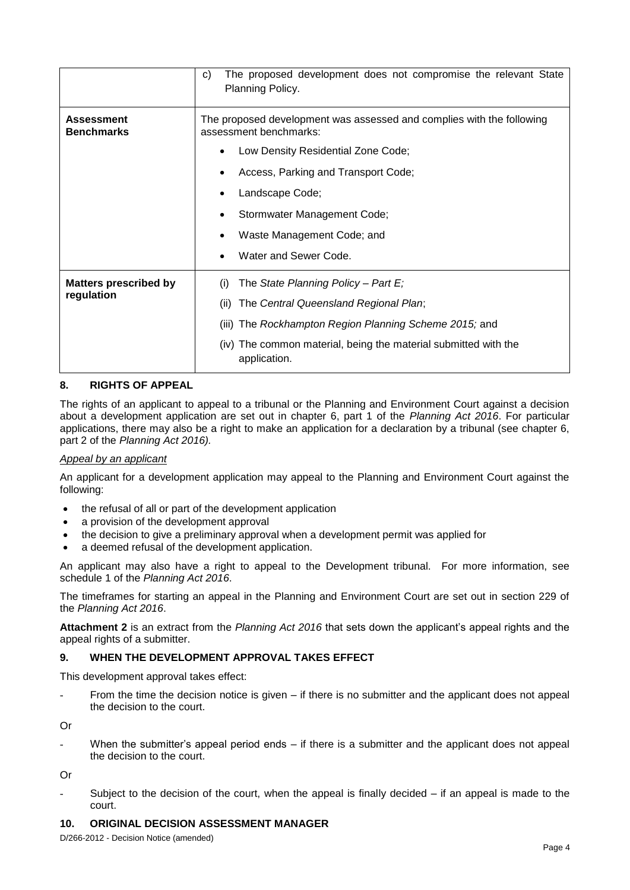|                                        | The proposed development does not compromise the relevant State<br>C)<br>Planning Policy.       |  |  |  |
|----------------------------------------|-------------------------------------------------------------------------------------------------|--|--|--|
| <b>Assessment</b><br><b>Benchmarks</b> | The proposed development was assessed and complies with the following<br>assessment benchmarks: |  |  |  |
|                                        | Low Density Residential Zone Code;                                                              |  |  |  |
|                                        | Access, Parking and Transport Code;                                                             |  |  |  |
|                                        | Landscape Code;                                                                                 |  |  |  |
|                                        | Stormwater Management Code;                                                                     |  |  |  |
|                                        | Waste Management Code; and                                                                      |  |  |  |
|                                        | Water and Sewer Code.                                                                           |  |  |  |
| <b>Matters prescribed by</b>           | The State Planning Policy – Part E;<br>(i)                                                      |  |  |  |
| regulation                             | The Central Queensland Regional Plan;<br>(ii)                                                   |  |  |  |
|                                        | (iii) The Rockhampton Region Planning Scheme 2015; and                                          |  |  |  |
|                                        | (iv) The common material, being the material submitted with the<br>application.                 |  |  |  |

#### **8. RIGHTS OF APPEAL**

The rights of an applicant to appeal to a tribunal or the Planning and Environment Court against a decision about a development application are set out in chapter 6, part 1 of the *Planning Act 2016*. For particular applications, there may also be a right to make an application for a declaration by a tribunal (see chapter 6, part 2 of the *Planning Act 2016).*

#### *Appeal by an applicant*

An applicant for a development application may appeal to the Planning and Environment Court against the following:

- the refusal of all or part of the development application
- a provision of the development approval
- the decision to give a preliminary approval when a development permit was applied for
- a deemed refusal of the development application.

An applicant may also have a right to appeal to the Development tribunal. For more information, see schedule 1 of the *Planning Act 2016*.

The timeframes for starting an appeal in the Planning and Environment Court are set out in section 229 of the *Planning Act 2016*.

**Attachment 2** is an extract from the *Planning Act 2016* that sets down the applicant's appeal rights and the appeal rights of a submitter.

### **9. WHEN THE DEVELOPMENT APPROVAL TAKES EFFECT**

This development approval takes effect:

From the time the decision notice is given – if there is no submitter and the applicant does not appeal the decision to the court.

Or

When the submitter's appeal period ends  $-$  if there is a submitter and the applicant does not appeal the decision to the court.

Or

Subject to the decision of the court, when the appeal is finally decided  $-$  if an appeal is made to the court.

#### **10. ORIGINAL DECISION ASSESSMENT MANAGER**

D/266-2012 - Decision Notice (amended)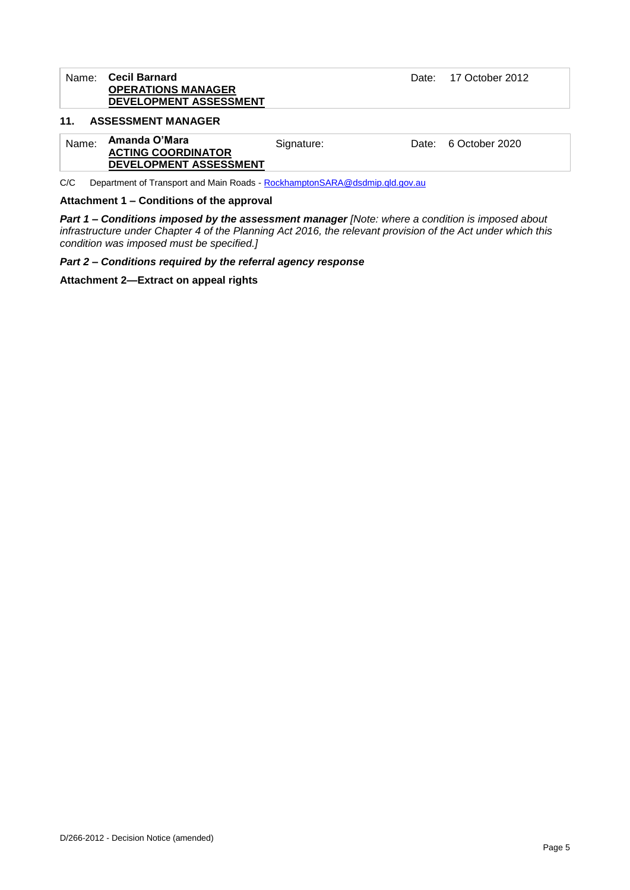#### Name: **Cecil Barnard OPERATIONS MANAGER DEVELOPMENT ASSESSMENT**

Date: 17 October 2012

#### **11. ASSESSMENT MANAGER**

| Name: | Amanda O'Mara<br><b>ACTING COORDINATOR</b> | Signature: | Date: 6 October 2020 |
|-------|--------------------------------------------|------------|----------------------|
|       | DEVELOPMENT ASSESSMENT                     |            |                      |

C/C Department of Transport and Main Roads - [RockhamptonSARA@dsdmip.qld.gov.au](mailto:RockhamptonSARA@dsdmip.qld.gov.au)

**Attachment 1 – Conditions of the approval**

*Part 1* **–** *Conditions imposed by the assessment manager [Note: where a condition is imposed about infrastructure under Chapter 4 of the Planning Act 2016, the relevant provision of the Act under which this condition was imposed must be specified.]*

*Part 2 – Conditions required by the referral agency response* 

**Attachment 2—Extract on appeal rights**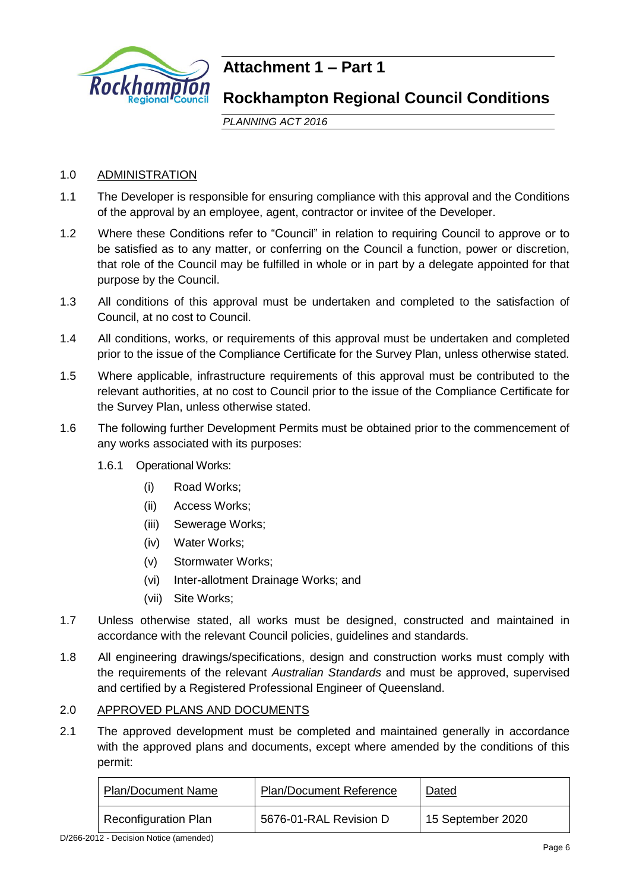

## **Attachment 1 – Part 1**

## **Rockhampton Regional Council Conditions**

*PLANNING ACT 2016*

## 1.0 ADMINISTRATION

- 1.1 The Developer is responsible for ensuring compliance with this approval and the Conditions of the approval by an employee, agent, contractor or invitee of the Developer.
- 1.2 Where these Conditions refer to "Council" in relation to requiring Council to approve or to be satisfied as to any matter, or conferring on the Council a function, power or discretion, that role of the Council may be fulfilled in whole or in part by a delegate appointed for that purpose by the Council.
- 1.3 All conditions of this approval must be undertaken and completed to the satisfaction of Council, at no cost to Council.
- 1.4 All conditions, works, or requirements of this approval must be undertaken and completed prior to the issue of the Compliance Certificate for the Survey Plan, unless otherwise stated.
- 1.5 Where applicable, infrastructure requirements of this approval must be contributed to the relevant authorities, at no cost to Council prior to the issue of the Compliance Certificate for the Survey Plan, unless otherwise stated.
- 1.6 The following further Development Permits must be obtained prior to the commencement of any works associated with its purposes:
	- 1.6.1 Operational Works:
		- (i) Road Works;
		- (ii) Access Works;
		- (iii) Sewerage Works;
		- (iv) Water Works;
		- (v) Stormwater Works;
		- (vi) Inter-allotment Drainage Works; and
		- (vii) Site Works;
- 1.7 Unless otherwise stated, all works must be designed, constructed and maintained in accordance with the relevant Council policies, guidelines and standards.
- 1.8 All engineering drawings/specifications, design and construction works must comply with the requirements of the relevant *Australian Standards* and must be approved, supervised and certified by a Registered Professional Engineer of Queensland.

### 2.0 APPROVED PLANS AND DOCUMENTS

2.1 The approved development must be completed and maintained generally in accordance with the approved plans and documents, except where amended by the conditions of this permit:

| <b>Plan/Document Name</b>   | <b>Plan/Document Reference</b> | Dated             |
|-----------------------------|--------------------------------|-------------------|
| <b>Reconfiguration Plan</b> | 5676-01-RAL Revision D         | 15 September 2020 |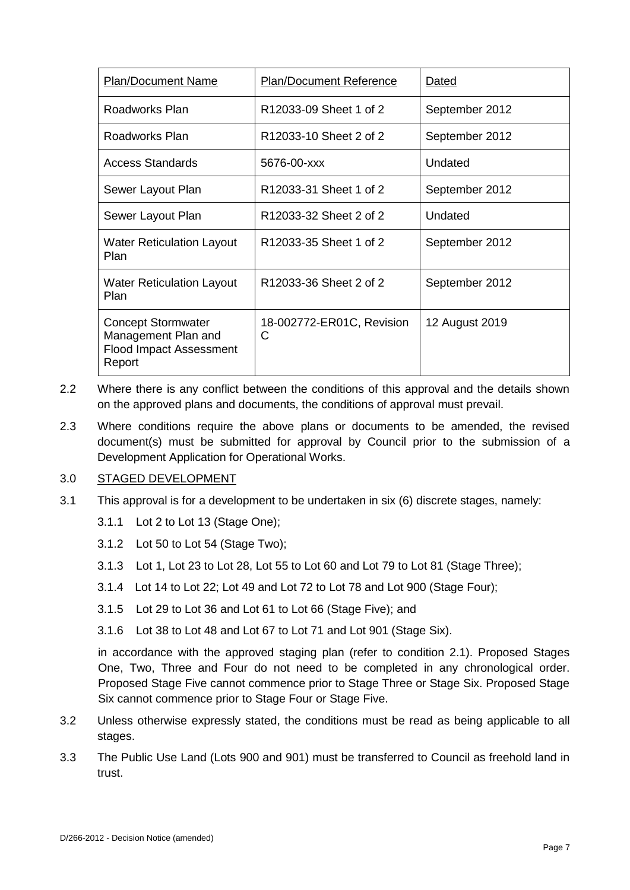| <b>Plan/Document Name</b>                                                                    | Plan/Document Reference        | Dated          |
|----------------------------------------------------------------------------------------------|--------------------------------|----------------|
| Roadworks Plan                                                                               | R12033-09 Sheet 1 of 2         | September 2012 |
| Roadworks Plan                                                                               | R12033-10 Sheet 2 of 2         | September 2012 |
| <b>Access Standards</b>                                                                      | 5676-00-xxx                    | Undated        |
| Sewer Layout Plan                                                                            | R12033-31 Sheet 1 of 2         | September 2012 |
| Sewer Layout Plan                                                                            | R12033-32 Sheet 2 of 2         | Undated        |
| <b>Water Reticulation Layout</b><br>Plan                                                     | R12033-35 Sheet 1 of 2         | September 2012 |
| <b>Water Reticulation Layout</b><br>Plan                                                     | R12033-36 Sheet 2 of 2         | September 2012 |
| <b>Concept Stormwater</b><br>Management Plan and<br><b>Flood Impact Assessment</b><br>Report | 18-002772-ER01C, Revision<br>C | 12 August 2019 |

- 2.2 Where there is any conflict between the conditions of this approval and the details shown on the approved plans and documents, the conditions of approval must prevail.
- 2.3 Where conditions require the above plans or documents to be amended, the revised document(s) must be submitted for approval by Council prior to the submission of a Development Application for Operational Works.

### 3.0 STAGED DEVELOPMENT

- 3.1 This approval is for a development to be undertaken in six (6) discrete stages, namely:
	- 3.1.1 Lot 2 to Lot 13 (Stage One);
	- 3.1.2 Lot 50 to Lot 54 (Stage Two);
	- 3.1.3 Lot 1, Lot 23 to Lot 28, Lot 55 to Lot 60 and Lot 79 to Lot 81 (Stage Three);
	- 3.1.4 Lot 14 to Lot 22; Lot 49 and Lot 72 to Lot 78 and Lot 900 (Stage Four);
	- 3.1.5 Lot 29 to Lot 36 and Lot 61 to Lot 66 (Stage Five); and
	- 3.1.6 Lot 38 to Lot 48 and Lot 67 to Lot 71 and Lot 901 (Stage Six).

in accordance with the approved staging plan (refer to condition 2.1). Proposed Stages One, Two, Three and Four do not need to be completed in any chronological order. Proposed Stage Five cannot commence prior to Stage Three or Stage Six. Proposed Stage Six cannot commence prior to Stage Four or Stage Five.

- 3.2 Unless otherwise expressly stated, the conditions must be read as being applicable to all stages.
- 3.3 The Public Use Land (Lots 900 and 901) must be transferred to Council as freehold land in trust.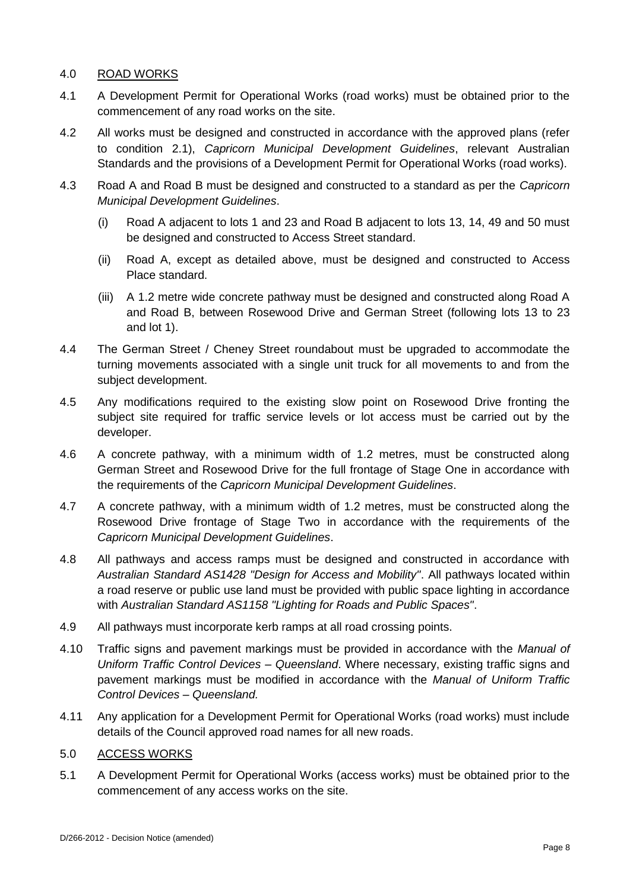## 4.0 ROAD WORKS

- 4.1 A Development Permit for Operational Works (road works) must be obtained prior to the commencement of any road works on the site.
- 4.2 All works must be designed and constructed in accordance with the approved plans (refer to condition 2.1), *Capricorn Municipal Development Guidelines*, relevant Australian Standards and the provisions of a Development Permit for Operational Works (road works).
- 4.3 Road A and Road B must be designed and constructed to a standard as per the *Capricorn Municipal Development Guidelines*.
	- (i) Road A adjacent to lots 1 and 23 and Road B adjacent to lots 13, 14, 49 and 50 must be designed and constructed to Access Street standard.
	- (ii) Road A, except as detailed above, must be designed and constructed to Access Place standard.
	- (iii) A 1.2 metre wide concrete pathway must be designed and constructed along Road A and Road B, between Rosewood Drive and German Street (following lots 13 to 23 and lot 1).
- 4.4 The German Street / Cheney Street roundabout must be upgraded to accommodate the turning movements associated with a single unit truck for all movements to and from the subject development.
- 4.5 Any modifications required to the existing slow point on Rosewood Drive fronting the subject site required for traffic service levels or lot access must be carried out by the developer.
- 4.6 A concrete pathway, with a minimum width of 1.2 metres, must be constructed along German Street and Rosewood Drive for the full frontage of Stage One in accordance with the requirements of the *Capricorn Municipal Development Guidelines*.
- 4.7 A concrete pathway, with a minimum width of 1.2 metres, must be constructed along the Rosewood Drive frontage of Stage Two in accordance with the requirements of the *Capricorn Municipal Development Guidelines*.
- 4.8 All pathways and access ramps must be designed and constructed in accordance with *Australian Standard AS1428 "Design for Access and Mobility"*. All pathways located within a road reserve or public use land must be provided with public space lighting in accordance with *Australian Standard AS1158 "Lighting for Roads and Public Spaces"*.
- 4.9 All pathways must incorporate kerb ramps at all road crossing points.
- 4.10 Traffic signs and pavement markings must be provided in accordance with the *Manual of Uniform Traffic Control Devices – Queensland*. Where necessary, existing traffic signs and pavement markings must be modified in accordance with the *Manual of Uniform Traffic Control Devices – Queensland.*
- 4.11 Any application for a Development Permit for Operational Works (road works) must include details of the Council approved road names for all new roads.
- 5.0 ACCESS WORKS
- 5.1 A Development Permit for Operational Works (access works) must be obtained prior to the commencement of any access works on the site.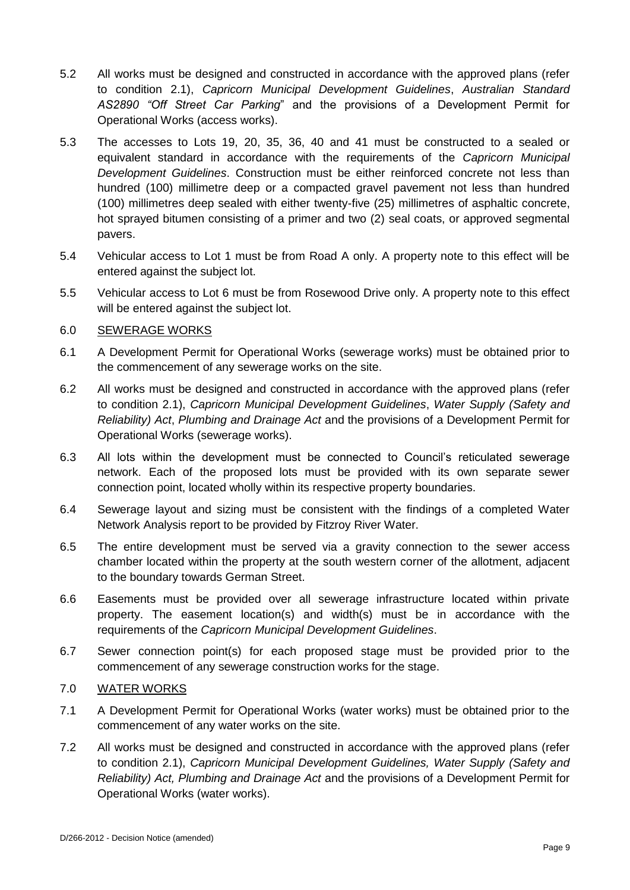- 5.2 All works must be designed and constructed in accordance with the approved plans (refer to condition 2.1), *Capricorn Municipal Development Guidelines*, *Australian Standard AS2890 "Off Street Car Parking*" and the provisions of a Development Permit for Operational Works (access works).
- 5.3 The accesses to Lots 19, 20, 35, 36, 40 and 41 must be constructed to a sealed or equivalent standard in accordance with the requirements of the *Capricorn Municipal Development Guidelines*. Construction must be either reinforced concrete not less than hundred (100) millimetre deep or a compacted gravel pavement not less than hundred (100) millimetres deep sealed with either twenty-five (25) millimetres of asphaltic concrete, hot sprayed bitumen consisting of a primer and two (2) seal coats, or approved segmental pavers.
- 5.4 Vehicular access to Lot 1 must be from Road A only. A property note to this effect will be entered against the subject lot.
- 5.5 Vehicular access to Lot 6 must be from Rosewood Drive only. A property note to this effect will be entered against the subject lot.

## 6.0 SEWERAGE WORKS

- 6.1 A Development Permit for Operational Works (sewerage works) must be obtained prior to the commencement of any sewerage works on the site.
- 6.2 All works must be designed and constructed in accordance with the approved plans (refer to condition 2.1), *Capricorn Municipal Development Guidelines*, *Water Supply (Safety and Reliability) Act*, *Plumbing and Drainage Act* and the provisions of a Development Permit for Operational Works (sewerage works).
- 6.3 All lots within the development must be connected to Council's reticulated sewerage network. Each of the proposed lots must be provided with its own separate sewer connection point, located wholly within its respective property boundaries.
- 6.4 Sewerage layout and sizing must be consistent with the findings of a completed Water Network Analysis report to be provided by Fitzroy River Water.
- 6.5 The entire development must be served via a gravity connection to the sewer access chamber located within the property at the south western corner of the allotment, adjacent to the boundary towards German Street.
- 6.6 Easements must be provided over all sewerage infrastructure located within private property. The easement location(s) and width(s) must be in accordance with the requirements of the *Capricorn Municipal Development Guidelines*.
- 6.7 Sewer connection point(s) for each proposed stage must be provided prior to the commencement of any sewerage construction works for the stage.

### 7.0 WATER WORKS

- 7.1 A Development Permit for Operational Works (water works) must be obtained prior to the commencement of any water works on the site.
- 7.2 All works must be designed and constructed in accordance with the approved plans (refer to condition 2.1), *Capricorn Municipal Development Guidelines, Water Supply (Safety and Reliability) Act, Plumbing and Drainage Act* and the provisions of a Development Permit for Operational Works (water works).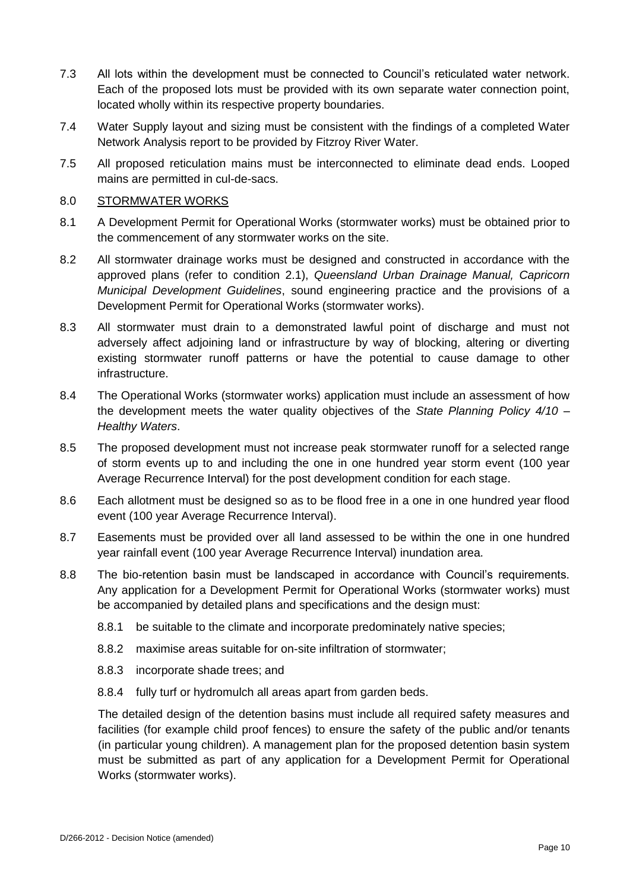- 7.3 All lots within the development must be connected to Council's reticulated water network. Each of the proposed lots must be provided with its own separate water connection point, located wholly within its respective property boundaries.
- 7.4 Water Supply layout and sizing must be consistent with the findings of a completed Water Network Analysis report to be provided by Fitzroy River Water.
- 7.5 All proposed reticulation mains must be interconnected to eliminate dead ends. Looped mains are permitted in cul-de-sacs.

#### 8.0 STORMWATER WORKS

- 8.1 A Development Permit for Operational Works (stormwater works) must be obtained prior to the commencement of any stormwater works on the site.
- 8.2 All stormwater drainage works must be designed and constructed in accordance with the approved plans (refer to condition 2.1), *Queensland Urban Drainage Manual, Capricorn Municipal Development Guidelines*, sound engineering practice and the provisions of a Development Permit for Operational Works (stormwater works).
- 8.3 All stormwater must drain to a demonstrated lawful point of discharge and must not adversely affect adjoining land or infrastructure by way of blocking, altering or diverting existing stormwater runoff patterns or have the potential to cause damage to other infrastructure.
- 8.4 The Operational Works (stormwater works) application must include an assessment of how the development meets the water quality objectives of the *State Planning Policy 4/10 – Healthy Waters*.
- 8.5 The proposed development must not increase peak stormwater runoff for a selected range of storm events up to and including the one in one hundred year storm event (100 year Average Recurrence Interval) for the post development condition for each stage.
- 8.6 Each allotment must be designed so as to be flood free in a one in one hundred year flood event (100 year Average Recurrence Interval).
- 8.7 Easements must be provided over all land assessed to be within the one in one hundred year rainfall event (100 year Average Recurrence Interval) inundation area.
- 8.8 The bio-retention basin must be landscaped in accordance with Council's requirements. Any application for a Development Permit for Operational Works (stormwater works) must be accompanied by detailed plans and specifications and the design must:
	- 8.8.1 be suitable to the climate and incorporate predominately native species;
	- 8.8.2 maximise areas suitable for on-site infiltration of stormwater;
	- 8.8.3 incorporate shade trees; and
	- 8.8.4 fully turf or hydromulch all areas apart from garden beds.

The detailed design of the detention basins must include all required safety measures and facilities (for example child proof fences) to ensure the safety of the public and/or tenants (in particular young children). A management plan for the proposed detention basin system must be submitted as part of any application for a Development Permit for Operational Works (stormwater works).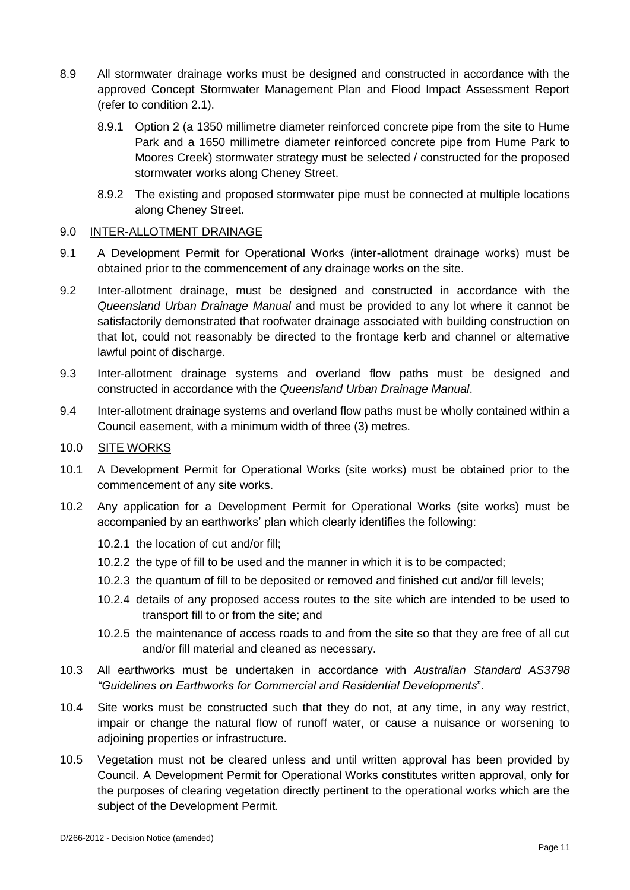- 8.9 All stormwater drainage works must be designed and constructed in accordance with the approved Concept Stormwater Management Plan and Flood Impact Assessment Report (refer to condition 2.1).
	- 8.9.1 Option 2 (a 1350 millimetre diameter reinforced concrete pipe from the site to Hume Park and a 1650 millimetre diameter reinforced concrete pipe from Hume Park to Moores Creek) stormwater strategy must be selected / constructed for the proposed stormwater works along Cheney Street.
	- 8.9.2 The existing and proposed stormwater pipe must be connected at multiple locations along Cheney Street.

### 9.0 INTER-ALLOTMENT DRAINAGE

- 9.1 A Development Permit for Operational Works (inter-allotment drainage works) must be obtained prior to the commencement of any drainage works on the site.
- 9.2 Inter-allotment drainage, must be designed and constructed in accordance with the *Queensland Urban Drainage Manual* and must be provided to any lot where it cannot be satisfactorily demonstrated that roofwater drainage associated with building construction on that lot, could not reasonably be directed to the frontage kerb and channel or alternative lawful point of discharge.
- 9.3 Inter-allotment drainage systems and overland flow paths must be designed and constructed in accordance with the *Queensland Urban Drainage Manual*.
- 9.4 Inter-allotment drainage systems and overland flow paths must be wholly contained within a Council easement, with a minimum width of three (3) metres.

#### 10.0 SITE WORKS

- 10.1 A Development Permit for Operational Works (site works) must be obtained prior to the commencement of any site works.
- 10.2 Any application for a Development Permit for Operational Works (site works) must be accompanied by an earthworks' plan which clearly identifies the following:
	- 10.2.1 the location of cut and/or fill;
	- 10.2.2 the type of fill to be used and the manner in which it is to be compacted;
	- 10.2.3 the quantum of fill to be deposited or removed and finished cut and/or fill levels;
	- 10.2.4 details of any proposed access routes to the site which are intended to be used to transport fill to or from the site; and
	- 10.2.5 the maintenance of access roads to and from the site so that they are free of all cut and/or fill material and cleaned as necessary.
- 10.3 All earthworks must be undertaken in accordance with *Australian Standard AS3798 "Guidelines on Earthworks for Commercial and Residential Developments*".
- 10.4 Site works must be constructed such that they do not, at any time, in any way restrict, impair or change the natural flow of runoff water, or cause a nuisance or worsening to adjoining properties or infrastructure.
- 10.5 Vegetation must not be cleared unless and until written approval has been provided by Council. A Development Permit for Operational Works constitutes written approval, only for the purposes of clearing vegetation directly pertinent to the operational works which are the subject of the Development Permit.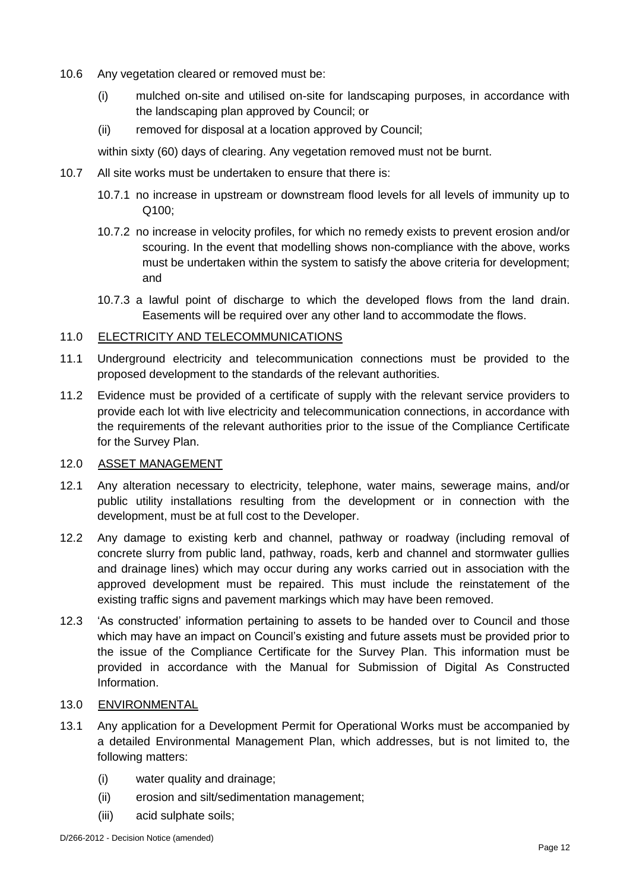- 10.6 Any vegetation cleared or removed must be:
	- (i) mulched on-site and utilised on-site for landscaping purposes, in accordance with the landscaping plan approved by Council; or
	- (ii) removed for disposal at a location approved by Council;

within sixty (60) days of clearing. Any vegetation removed must not be burnt.

- 10.7 All site works must be undertaken to ensure that there is:
	- 10.7.1 no increase in upstream or downstream flood levels for all levels of immunity up to Q100;
	- 10.7.2 no increase in velocity profiles, for which no remedy exists to prevent erosion and/or scouring. In the event that modelling shows non-compliance with the above, works must be undertaken within the system to satisfy the above criteria for development; and
	- 10.7.3 a lawful point of discharge to which the developed flows from the land drain. Easements will be required over any other land to accommodate the flows.

## 11.0 ELECTRICITY AND TELECOMMUNICATIONS

- 11.1 Underground electricity and telecommunication connections must be provided to the proposed development to the standards of the relevant authorities.
- 11.2 Evidence must be provided of a certificate of supply with the relevant service providers to provide each lot with live electricity and telecommunication connections, in accordance with the requirements of the relevant authorities prior to the issue of the Compliance Certificate for the Survey Plan.

### 12.0 ASSET MANAGEMENT

- 12.1 Any alteration necessary to electricity, telephone, water mains, sewerage mains, and/or public utility installations resulting from the development or in connection with the development, must be at full cost to the Developer.
- 12.2 Any damage to existing kerb and channel, pathway or roadway (including removal of concrete slurry from public land, pathway, roads, kerb and channel and stormwater gullies and drainage lines) which may occur during any works carried out in association with the approved development must be repaired. This must include the reinstatement of the existing traffic signs and pavement markings which may have been removed.
- 12.3 'As constructed' information pertaining to assets to be handed over to Council and those which may have an impact on Council's existing and future assets must be provided prior to the issue of the Compliance Certificate for the Survey Plan. This information must be provided in accordance with the Manual for Submission of Digital As Constructed Information.

### 13.0 ENVIRONMENTAL

- 13.1 Any application for a Development Permit for Operational Works must be accompanied by a detailed Environmental Management Plan, which addresses, but is not limited to, the following matters:
	- (i) water quality and drainage;
	- (ii) erosion and silt/sedimentation management;
	- (iii) acid sulphate soils;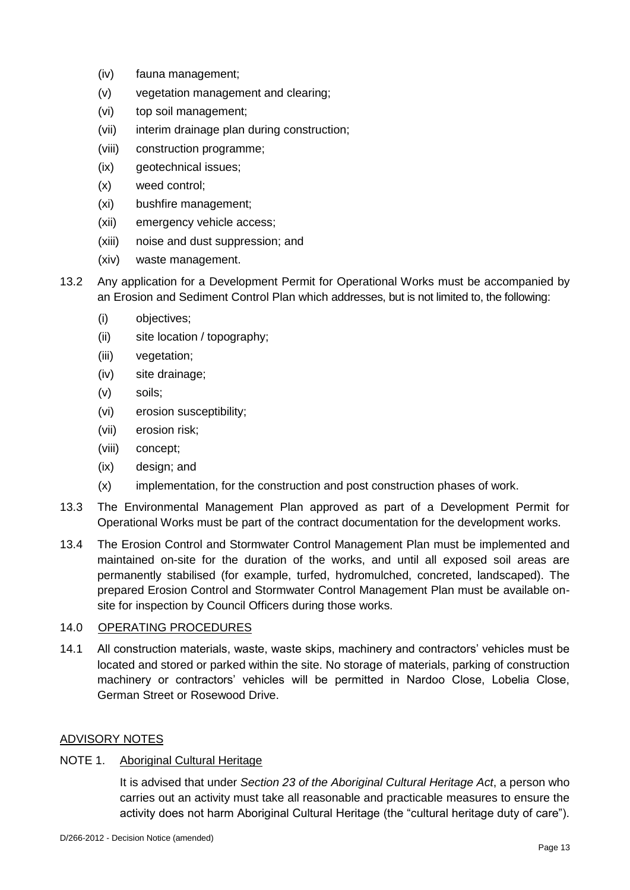- (iv) fauna management;
- (v) vegetation management and clearing;
- (vi) top soil management;
- (vii) interim drainage plan during construction;
- (viii) construction programme;
- (ix) geotechnical issues;
- (x) weed control;
- (xi) bushfire management;
- (xii) emergency vehicle access;
- (xiii) noise and dust suppression; and
- (xiv) waste management.
- 13.2 Any application for a Development Permit for Operational Works must be accompanied by an Erosion and Sediment Control Plan which addresses, but is not limited to, the following:
	- (i) objectives;
	- (ii) site location / topography;
	- (iii) vegetation;
	- (iv) site drainage;
	- (v) soils;
	- (vi) erosion susceptibility;
	- (vii) erosion risk;
	- (viii) concept;
	- (ix) design; and
	- (x) implementation, for the construction and post construction phases of work.
- 13.3 The Environmental Management Plan approved as part of a Development Permit for Operational Works must be part of the contract documentation for the development works.
- 13.4 The Erosion Control and Stormwater Control Management Plan must be implemented and maintained on-site for the duration of the works, and until all exposed soil areas are permanently stabilised (for example, turfed, hydromulched, concreted, landscaped). The prepared Erosion Control and Stormwater Control Management Plan must be available onsite for inspection by Council Officers during those works.

### 14.0 OPERATING PROCEDURES

14.1 All construction materials, waste, waste skips, machinery and contractors' vehicles must be located and stored or parked within the site. No storage of materials, parking of construction machinery or contractors' vehicles will be permitted in Nardoo Close, Lobelia Close, German Street or Rosewood Drive.

### ADVISORY NOTES

## NOTE 1. Aboriginal Cultural Heritage

It is advised that under *Section 23 of the Aboriginal Cultural Heritage Act*, a person who carries out an activity must take all reasonable and practicable measures to ensure the activity does not harm Aboriginal Cultural Heritage (the "cultural heritage duty of care").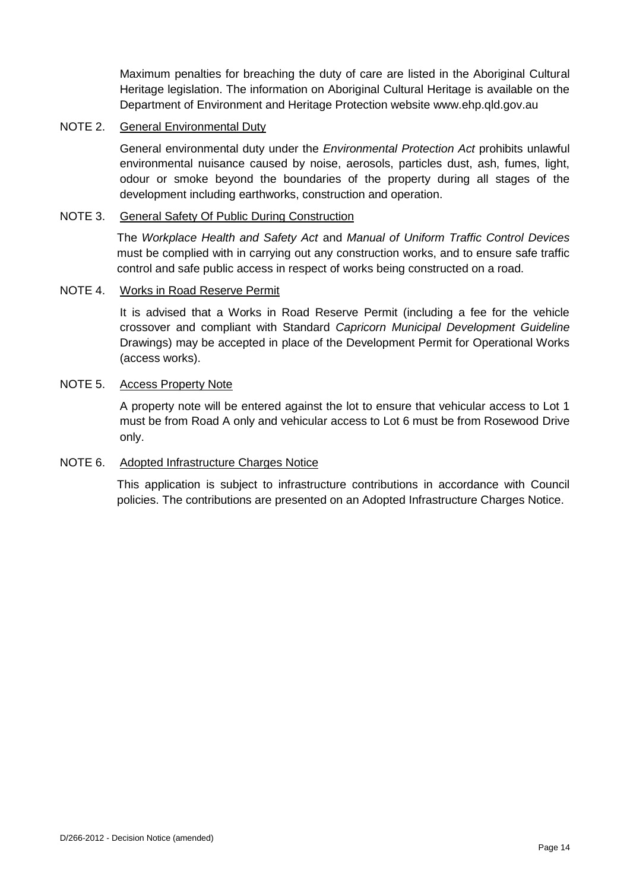Maximum penalties for breaching the duty of care are listed in the Aboriginal Cultural Heritage legislation. The information on Aboriginal Cultural Heritage is available on the Department of Environment and Heritage Protection website www.ehp.qld.gov.au

### NOTE 2. General Environmental Duty

General environmental duty under the *Environmental Protection Act* prohibits unlawful environmental nuisance caused by noise, aerosols, particles dust, ash, fumes, light, odour or smoke beyond the boundaries of the property during all stages of the development including earthworks, construction and operation.

#### NOTE 3. General Safety Of Public During Construction

The *Workplace Health and Safety Act* and *Manual of Uniform Traffic Control Devices* must be complied with in carrying out any construction works, and to ensure safe traffic control and safe public access in respect of works being constructed on a road.

#### NOTE 4. Works in Road Reserve Permit

It is advised that a Works in Road Reserve Permit (including a fee for the vehicle crossover and compliant with Standard *Capricorn Municipal Development Guideline* Drawings) may be accepted in place of the Development Permit for Operational Works (access works).

## NOTE 5. Access Property Note

A property note will be entered against the lot to ensure that vehicular access to Lot 1 must be from Road A only and vehicular access to Lot 6 must be from Rosewood Drive only.

#### NOTE 6. Adopted Infrastructure Charges Notice

This application is subject to infrastructure contributions in accordance with Council policies. The contributions are presented on an Adopted Infrastructure Charges Notice.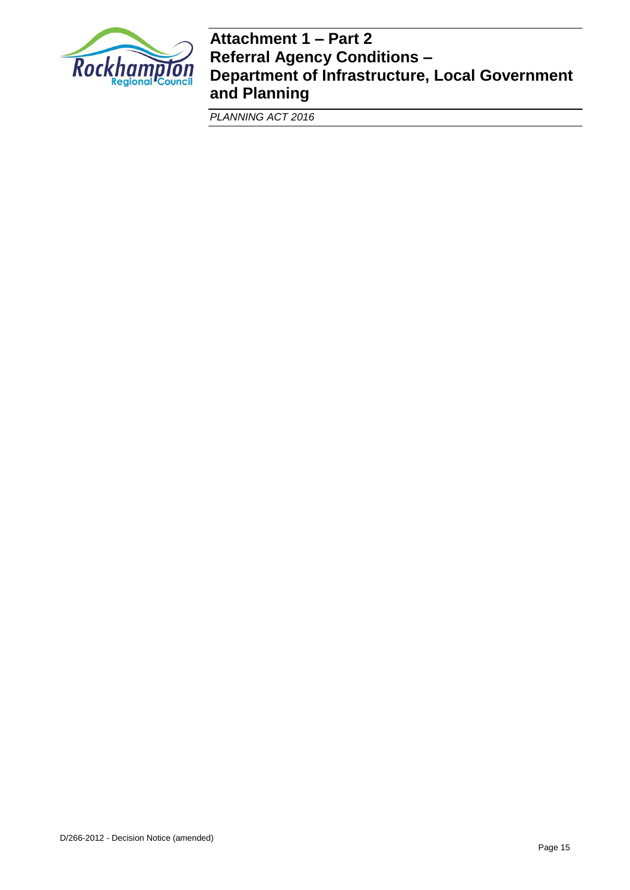

## **Attachment 1 – Part 2 Referral Agency Conditions – Department of Infrastructure, Local Government and Planning**

*PLANNING ACT 2016*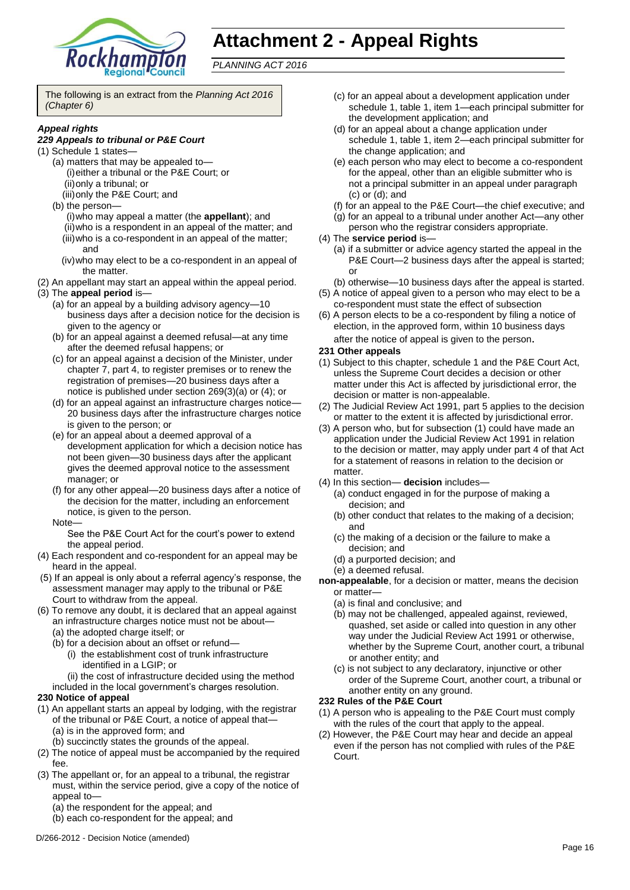

# **Attachment 2 - Appeal Rights**

*PLANNING ACT 2016*

The following is an extract from the *Planning Act 2016 (Chapter 6)*

#### *Appeal rights*

#### *229 Appeals to tribunal or P&E Court*

- (1) Schedule 1 states—
	- (a) matters that may be appealed to— (i)either a tribunal or the P&E Court; or (ii)only a tribunal; or
		- (iii)only the P&E Court; and
	- (b) the person—
		- (i)who may appeal a matter (the **appellant**); and (ii)who is a respondent in an appeal of the matter; and (iii)who is a co-respondent in an appeal of the matter; and
		- (iv)who may elect to be a co-respondent in an appeal of the matter.
- (2) An appellant may start an appeal within the appeal period.
- (3) The **appeal period** is—
	- (a) for an appeal by a building advisory agency—10 business days after a decision notice for the decision is given to the agency or
	- (b) for an appeal against a deemed refusal—at any time after the deemed refusal happens; or
	- (c) for an appeal against a decision of the Minister, under chapter 7, part 4, to register premises or to renew the registration of premises—20 business days after a notice is published under section 269(3)(a) or (4); or
	- (d) for an appeal against an infrastructure charges notice— 20 business days after the infrastructure charges notice is given to the person; or
	- (e) for an appeal about a deemed approval of a development application for which a decision notice has not been given—30 business days after the applicant gives the deemed approval notice to the assessment manager; or
	- (f) for any other appeal—20 business days after a notice of the decision for the matter, including an enforcement notice, is given to the person.
	- Note—

See the P&E Court Act for the court's power to extend the appeal period.

- (4) Each respondent and co-respondent for an appeal may be heard in the appeal.
- (5) If an appeal is only about a referral agency's response, the assessment manager may apply to the tribunal or P&E Court to withdraw from the appeal.
- (6) To remove any doubt, it is declared that an appeal against an infrastructure charges notice must not be about—
	- (a) the adopted charge itself; or
	- (b) for a decision about an offset or refund—
		- (i) the establishment cost of trunk infrastructure identified in a LGIP; or
		- (ii) the cost of infrastructure decided using the method
	- included in the local government's charges resolution.

#### **230 Notice of appeal**

- (1) An appellant starts an appeal by lodging, with the registrar of the tribunal or P&E Court, a notice of appeal that— (a) is in the approved form; and
	- (b) succinctly states the grounds of the appeal.
- (2) The notice of appeal must be accompanied by the required fee.
- (3) The appellant or, for an appeal to a tribunal, the registrar must, within the service period, give a copy of the notice of appeal to—
	- (a) the respondent for the appeal; and
	- (b) each co-respondent for the appeal; and
- (c) for an appeal about a development application under schedule 1, table 1, item 1—each principal submitter for the development application; and
- (d) for an appeal about a change application under schedule 1, table 1, item 2—each principal submitter for the change application; and
- (e) each person who may elect to become a co-respondent for the appeal, other than an eligible submitter who is not a principal submitter in an appeal under paragraph (c) or (d); and
- (f) for an appeal to the P&E Court—the chief executive; and
- (g) for an appeal to a tribunal under another Act—any other
- person who the registrar considers appropriate.
- (4) The **service period** is—
	- (a) if a submitter or advice agency started the appeal in the P&E Court-2 business days after the appeal is started; or
	- (b) otherwise—10 business days after the appeal is started.
- (5) A notice of appeal given to a person who may elect to be a co-respondent must state the effect of subsection
- (6) A person elects to be a co-respondent by filing a notice of election, in the approved form, within 10 business days after the notice of appeal is given to the person*.*

#### **231 Other appeals**

- (1) Subject to this chapter, schedule 1 and the P&E Court Act, unless the Supreme Court decides a decision or other matter under this Act is affected by jurisdictional error, the decision or matter is non-appealable.
- (2) The Judicial Review Act 1991, part 5 applies to the decision or matter to the extent it is affected by jurisdictional error.
- (3) A person who, but for subsection (1) could have made an application under the Judicial Review Act 1991 in relation to the decision or matter, may apply under part 4 of that Act for a statement of reasons in relation to the decision or matter.
- (4) In this section— **decision** includes—
	- (a) conduct engaged in for the purpose of making a decision; and
	- (b) other conduct that relates to the making of a decision; and
	- (c) the making of a decision or the failure to make a decision; and
	- (d) a purported decision; and
	- (e) a deemed refusal.
- **non-appealable**, for a decision or matter, means the decision or matter—
	- (a) is final and conclusive; and
	- (b) may not be challenged, appealed against, reviewed, quashed, set aside or called into question in any other way under the Judicial Review Act 1991 or otherwise, whether by the Supreme Court, another court, a tribunal or another entity; and
	- (c) is not subject to any declaratory, injunctive or other order of the Supreme Court, another court, a tribunal or another entity on any ground.

#### **232 Rules of the P&E Court**

- (1) A person who is appealing to the P&E Court must comply with the rules of the court that apply to the appeal.
- (2) However, the P&E Court may hear and decide an appeal even if the person has not complied with rules of the P&E Court.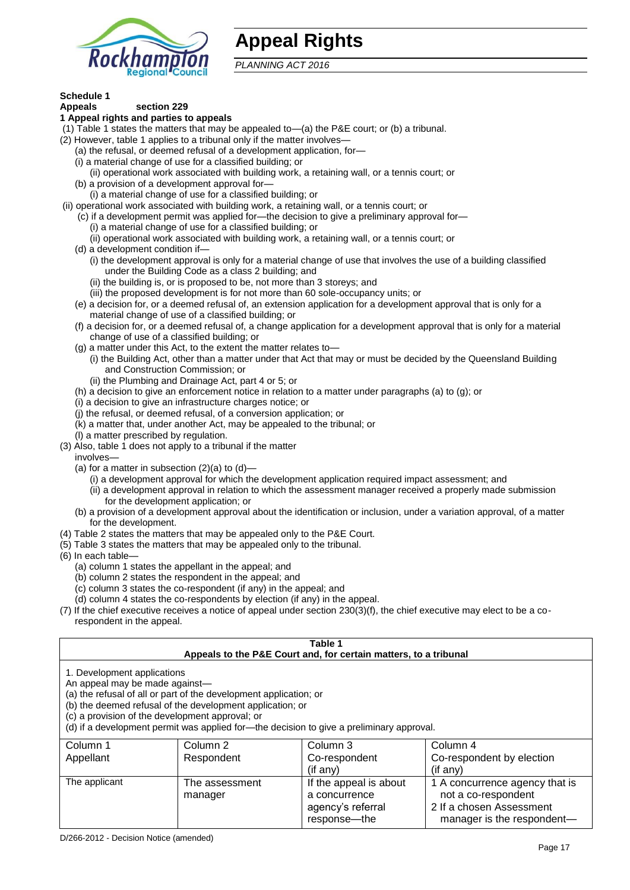

## **Appeal Rights**

*PLANNING ACT 2016*

## **Schedule 1**

#### **Appeals section 229 1 Appeal rights and parties to appeals**

- (1) Table 1 states the matters that may be appealed to—(a) the P&E court; or (b) a tribunal.
- (2) However, table 1 applies to a tribunal only if the matter involves—
	- (a) the refusal, or deemed refusal of a development application, for—
	- (i) a material change of use for a classified building; or
	- (ii) operational work associated with building work, a retaining wall, or a tennis court; or
	- (b) a provision of a development approval for—
	- (i) a material change of use for a classified building; or
- (ii) operational work associated with building work, a retaining wall, or a tennis court; or
	- (c) if a development permit was applied for—the decision to give a preliminary approval for—
		- (i) a material change of use for a classified building; or
		- (ii) operational work associated with building work, a retaining wall, or a tennis court; or
	- (d) a development condition if—
		- (i) the development approval is only for a material change of use that involves the use of a building classified under the Building Code as a class 2 building; and
		- (ii) the building is, or is proposed to be, not more than 3 storeys; and
		- (iii) the proposed development is for not more than 60 sole-occupancy units; or
	- (e) a decision for, or a deemed refusal of, an extension application for a development approval that is only for a material change of use of a classified building; or
	- (f) a decision for, or a deemed refusal of, a change application for a development approval that is only for a material change of use of a classified building; or
	- (g) a matter under this Act, to the extent the matter relates to—
		- (i) the Building Act, other than a matter under that Act that may or must be decided by the Queensland Building and Construction Commission; or
		- (ii) the Plumbing and Drainage Act, part 4 or 5; or
	- (h) a decision to give an enforcement notice in relation to a matter under paragraphs (a) to (g); or
	- (i) a decision to give an infrastructure charges notice; or
	- (j) the refusal, or deemed refusal, of a conversion application; or
	- (k) a matter that, under another Act, may be appealed to the tribunal; or
	- (l) a matter prescribed by regulation.
- (3) Also, table 1 does not apply to a tribunal if the matter
- involves—
	- (a) for a matter in subsection  $(2)(a)$  to  $(d)$ 
		- (i) a development approval for which the development application required impact assessment; and
		- (ii) a development approval in relation to which the assessment manager received a properly made submission for the development application; or
	- (b) a provision of a development approval about the identification or inclusion, under a variation approval, of a matter for the development.
- (4) Table 2 states the matters that may be appealed only to the P&E Court.
- (5) Table 3 states the matters that may be appealed only to the tribunal.
- (6) In each table—
	- (a) column 1 states the appellant in the appeal; and
	- (b) column 2 states the respondent in the appeal; and
	- (c) column 3 states the co-respondent (if any) in the appeal; and
	- (d) column 4 states the co-respondents by election (if any) in the appeal.
- (7) If the chief executive receives a notice of appeal under section 230(3)(f), the chief executive may elect to be a corespondent in the appeal.

| Table 1<br>Appeals to the P&E Court and, for certain matters, to a tribunal                                                                                                                                                                                                                                                                    |                           |                                                              |                                                                                   |  |
|------------------------------------------------------------------------------------------------------------------------------------------------------------------------------------------------------------------------------------------------------------------------------------------------------------------------------------------------|---------------------------|--------------------------------------------------------------|-----------------------------------------------------------------------------------|--|
| 1. Development applications<br>An appeal may be made against-<br>(a) the refusal of all or part of the development application; or<br>(b) the deemed refusal of the development application; or<br>(c) a provision of the development approval; or<br>(d) if a development permit was applied for—the decision to give a preliminary approval. |                           |                                                              |                                                                                   |  |
| Column 1                                                                                                                                                                                                                                                                                                                                       | Column 2                  | Column 3                                                     | Column 4                                                                          |  |
| Appellant                                                                                                                                                                                                                                                                                                                                      | Respondent                | Co-respondent<br>(if any)                                    | Co-respondent by election<br>(if any)                                             |  |
| The applicant                                                                                                                                                                                                                                                                                                                                  | The assessment<br>manager | If the appeal is about<br>a concurrence<br>agency's referral | 1 A concurrence agency that is<br>not a co-respondent<br>2 If a chosen Assessment |  |

response—the

manager is the respondent-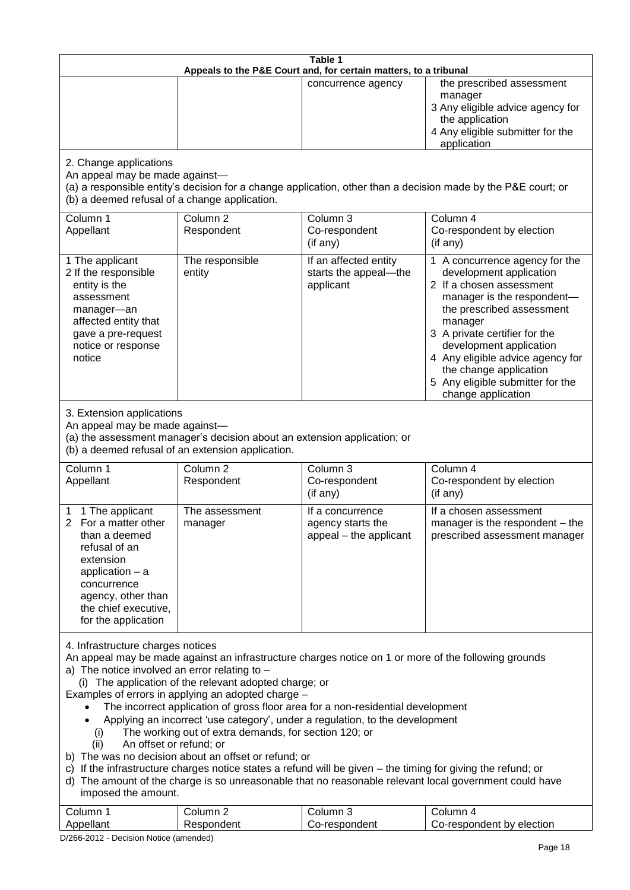| Table 1                                                                                                                                                                                                                                                                                                                                                                                                                                                                                                                                                                                                                                                                                                                                                                                                                                                                                     |                                                                                                                               |                                                                 |                                                                                                                                                                                                                                                                                                                                                 |  |
|---------------------------------------------------------------------------------------------------------------------------------------------------------------------------------------------------------------------------------------------------------------------------------------------------------------------------------------------------------------------------------------------------------------------------------------------------------------------------------------------------------------------------------------------------------------------------------------------------------------------------------------------------------------------------------------------------------------------------------------------------------------------------------------------------------------------------------------------------------------------------------------------|-------------------------------------------------------------------------------------------------------------------------------|-----------------------------------------------------------------|-------------------------------------------------------------------------------------------------------------------------------------------------------------------------------------------------------------------------------------------------------------------------------------------------------------------------------------------------|--|
| Appeals to the P&E Court and, for certain matters, to a tribunal                                                                                                                                                                                                                                                                                                                                                                                                                                                                                                                                                                                                                                                                                                                                                                                                                            |                                                                                                                               |                                                                 |                                                                                                                                                                                                                                                                                                                                                 |  |
|                                                                                                                                                                                                                                                                                                                                                                                                                                                                                                                                                                                                                                                                                                                                                                                                                                                                                             |                                                                                                                               | concurrence agency                                              | the prescribed assessment<br>manager<br>3 Any eligible advice agency for<br>the application<br>4 Any eligible submitter for the<br>application                                                                                                                                                                                                  |  |
| 2. Change applications<br>An appeal may be made against-<br>(b) a deemed refusal of a change application.                                                                                                                                                                                                                                                                                                                                                                                                                                                                                                                                                                                                                                                                                                                                                                                   |                                                                                                                               |                                                                 | (a) a responsible entity's decision for a change application, other than a decision made by the P&E court; or                                                                                                                                                                                                                                   |  |
| Column 1<br>Appellant                                                                                                                                                                                                                                                                                                                                                                                                                                                                                                                                                                                                                                                                                                                                                                                                                                                                       | Column <sub>2</sub><br>Respondent                                                                                             | Column 3<br>Co-respondent<br>(if any)                           | Column 4<br>Co-respondent by election<br>(if any)                                                                                                                                                                                                                                                                                               |  |
| 1 The applicant<br>2 If the responsible<br>entity is the<br>assessment<br>manager-an<br>affected entity that<br>gave a pre-request<br>notice or response<br>notice                                                                                                                                                                                                                                                                                                                                                                                                                                                                                                                                                                                                                                                                                                                          | The responsible<br>entity                                                                                                     | If an affected entity<br>starts the appeal-the<br>applicant     | 1 A concurrence agency for the<br>development application<br>2 If a chosen assessment<br>manager is the respondent-<br>the prescribed assessment<br>manager<br>3 A private certifier for the<br>development application<br>4 Any eligible advice agency for<br>the change application<br>5 Any eligible submitter for the<br>change application |  |
| 3. Extension applications<br>An appeal may be made against-                                                                                                                                                                                                                                                                                                                                                                                                                                                                                                                                                                                                                                                                                                                                                                                                                                 | (a) the assessment manager's decision about an extension application; or<br>(b) a deemed refusal of an extension application. |                                                                 |                                                                                                                                                                                                                                                                                                                                                 |  |
| Column 1<br>Appellant                                                                                                                                                                                                                                                                                                                                                                                                                                                                                                                                                                                                                                                                                                                                                                                                                                                                       | Column <sub>2</sub><br>Respondent                                                                                             | Column 3<br>Co-respondent<br>(if any)                           | Column 4<br>Co-respondent by election<br>(if any)                                                                                                                                                                                                                                                                                               |  |
| 1 The applicant<br>2 For a matter other<br>than a deemed<br>refusal of an<br>extension<br>application $-$ a<br>concurrence<br>agency, other than<br>the chief executive,<br>for the application                                                                                                                                                                                                                                                                                                                                                                                                                                                                                                                                                                                                                                                                                             | The assessment<br>manager                                                                                                     | It a concurrence<br>agency starts the<br>appeal - the applicant | If a chosen assessment<br>manager is the respondent - the<br>prescribed assessment manager                                                                                                                                                                                                                                                      |  |
| 4. Infrastructure charges notices<br>An appeal may be made against an infrastructure charges notice on 1 or more of the following grounds<br>a) The notice involved an error relating to $-$<br>(i) The application of the relevant adopted charge; or<br>Examples of errors in applying an adopted charge -<br>The incorrect application of gross floor area for a non-residential development<br>Applying an incorrect 'use category', under a regulation, to the development<br>The working out of extra demands, for section 120; or<br>(i)<br>An offset or refund; or<br>(ii)<br>b) The was no decision about an offset or refund; or<br>c) If the infrastructure charges notice states a refund will be given – the timing for giving the refund; or<br>d) The amount of the charge is so unreasonable that no reasonable relevant local government could have<br>imposed the amount. |                                                                                                                               |                                                                 |                                                                                                                                                                                                                                                                                                                                                 |  |
| Column 1<br>Appellant                                                                                                                                                                                                                                                                                                                                                                                                                                                                                                                                                                                                                                                                                                                                                                                                                                                                       | Column <sub>2</sub><br>Respondent                                                                                             | Column 3<br>Co-respondent                                       | Column 4<br>Co-respondent by election                                                                                                                                                                                                                                                                                                           |  |

D/266-2012 - Decision Notice (amended)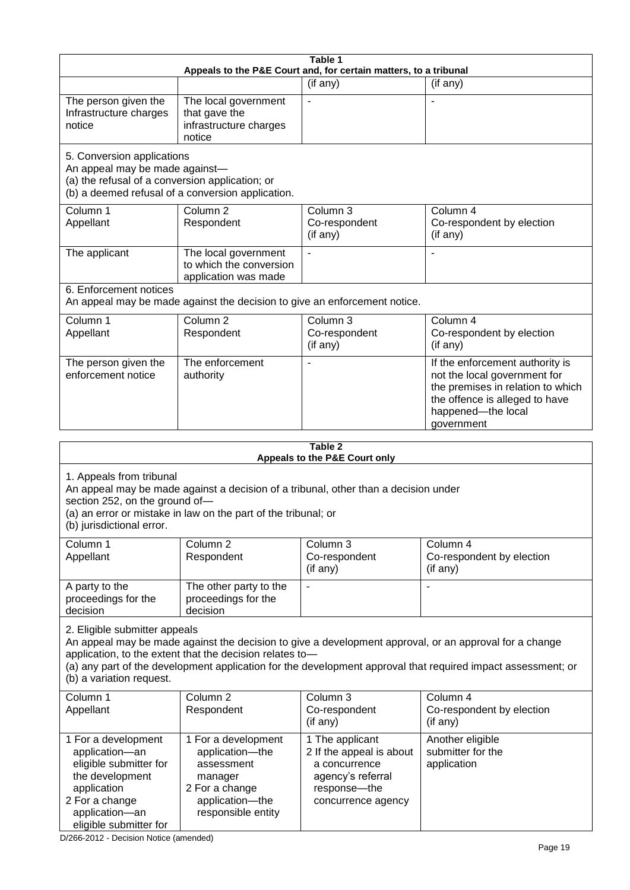| Table 1<br>Appeals to the P&E Court and, for certain matters, to a tribunal                                                                                                                                                                                                                                                                     |                                                                                                                                                       |                                                                                                   |                                                                                                                                                                            |  |
|-------------------------------------------------------------------------------------------------------------------------------------------------------------------------------------------------------------------------------------------------------------------------------------------------------------------------------------------------|-------------------------------------------------------------------------------------------------------------------------------------------------------|---------------------------------------------------------------------------------------------------|----------------------------------------------------------------------------------------------------------------------------------------------------------------------------|--|
|                                                                                                                                                                                                                                                                                                                                                 |                                                                                                                                                       | (if any)                                                                                          | (if any)                                                                                                                                                                   |  |
| The person given the<br>Infrastructure charges<br>notice                                                                                                                                                                                                                                                                                        | The local government<br>that gave the<br>infrastructure charges<br>notice                                                                             |                                                                                                   |                                                                                                                                                                            |  |
| 5. Conversion applications<br>An appeal may be made against-<br>(a) the refusal of a conversion application; or                                                                                                                                                                                                                                 | (b) a deemed refusal of a conversion application.                                                                                                     |                                                                                                   |                                                                                                                                                                            |  |
| Column 1<br>Appellant                                                                                                                                                                                                                                                                                                                           | Column <sub>2</sub><br>Respondent                                                                                                                     | Column 3<br>Co-respondent<br>(if any)                                                             | Column 4<br>Co-respondent by election<br>(if any)                                                                                                                          |  |
| The applicant                                                                                                                                                                                                                                                                                                                                   | The local government<br>to which the conversion<br>application was made                                                                               |                                                                                                   |                                                                                                                                                                            |  |
| 6. Enforcement notices                                                                                                                                                                                                                                                                                                                          | An appeal may be made against the decision to give an enforcement notice.                                                                             |                                                                                                   |                                                                                                                                                                            |  |
| Column 1<br>Appellant                                                                                                                                                                                                                                                                                                                           | Column <sub>2</sub><br>Respondent                                                                                                                     | Column 3<br>Co-respondent<br>(if any)                                                             | Column 4<br>Co-respondent by election<br>(if any)                                                                                                                          |  |
| The person given the<br>enforcement notice                                                                                                                                                                                                                                                                                                      | The enforcement<br>authority                                                                                                                          |                                                                                                   | If the enforcement authority is<br>not the local government for<br>the premises in relation to which<br>the offence is alleged to have<br>happened-the local<br>government |  |
|                                                                                                                                                                                                                                                                                                                                                 |                                                                                                                                                       | Table 2                                                                                           |                                                                                                                                                                            |  |
|                                                                                                                                                                                                                                                                                                                                                 |                                                                                                                                                       | Appeals to the P&E Court only                                                                     |                                                                                                                                                                            |  |
| 1. Appeals from tribunal<br>section 252, on the ground of-<br>(b) jurisdictional error.                                                                                                                                                                                                                                                         | An appeal may be made against a decision of a tribunal, other than a decision under<br>(a) an error or mistake in law on the part of the tribunal; or |                                                                                                   |                                                                                                                                                                            |  |
| Column 1<br>Appellant                                                                                                                                                                                                                                                                                                                           | Column <sub>2</sub><br>Respondent                                                                                                                     | Column $3$<br>Co-respondent<br>(if any)                                                           | Column 4<br>Co-respondent by election<br>(if any)                                                                                                                          |  |
| A party to the<br>proceedings for the<br>decision                                                                                                                                                                                                                                                                                               | The other party to the<br>proceedings for the<br>decision                                                                                             | $\blacksquare$                                                                                    | $\overline{a}$                                                                                                                                                             |  |
| 2. Eligible submitter appeals<br>An appeal may be made against the decision to give a development approval, or an approval for a change<br>application, to the extent that the decision relates to-<br>(a) any part of the development application for the development approval that required impact assessment; or<br>(b) a variation request. |                                                                                                                                                       |                                                                                                   |                                                                                                                                                                            |  |
| Column 1<br>Appellant                                                                                                                                                                                                                                                                                                                           | Column <sub>2</sub><br>Respondent                                                                                                                     | Column 3<br>Co-respondent<br>(if any)                                                             | Column 4<br>Co-respondent by election<br>(if any)                                                                                                                          |  |
| 1 For a development<br>application-an<br>eligible submitter for<br>the development<br>application                                                                                                                                                                                                                                               | 1 For a development<br>application-the<br>assessment<br>manager<br>2 For a change                                                                     | 1 The applicant<br>2 If the appeal is about<br>a concurrence<br>agency's referral<br>response-the | Another eligible<br>submitter for the<br>application                                                                                                                       |  |

concurrence agency

D/266-2012 - Decision Notice (amended)

application—the responsible entity

2 For a change application—an eligible submitter for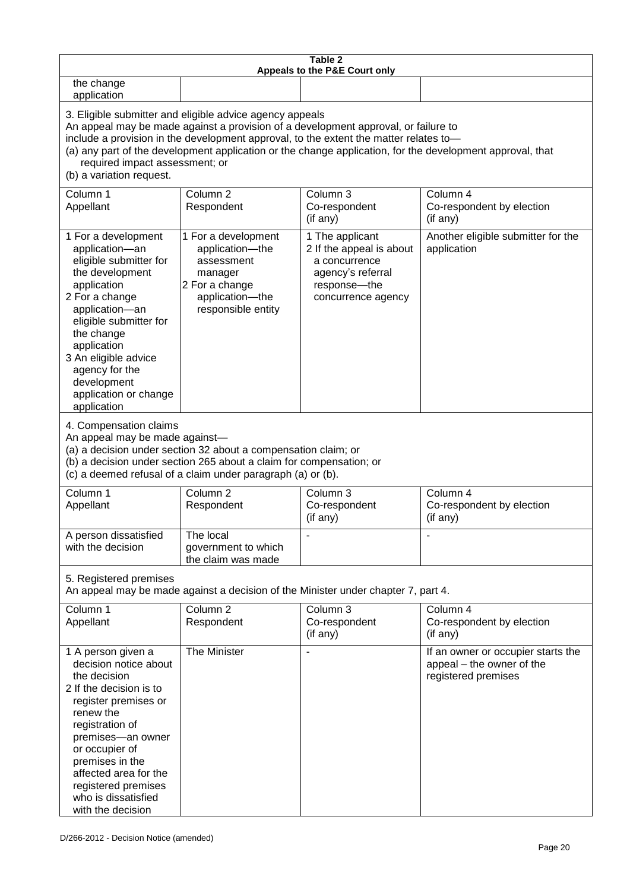| Table 2<br>Appeals to the P&E Court only                                                                                                                                                                                                                                                                                                                                                                           |                                                                                                                            |                                                                                                                         |                                                                                        |  |
|--------------------------------------------------------------------------------------------------------------------------------------------------------------------------------------------------------------------------------------------------------------------------------------------------------------------------------------------------------------------------------------------------------------------|----------------------------------------------------------------------------------------------------------------------------|-------------------------------------------------------------------------------------------------------------------------|----------------------------------------------------------------------------------------|--|
| the change<br>application                                                                                                                                                                                                                                                                                                                                                                                          |                                                                                                                            |                                                                                                                         |                                                                                        |  |
| 3. Eligible submitter and eligible advice agency appeals<br>An appeal may be made against a provision of a development approval, or failure to<br>include a provision in the development approval, to the extent the matter relates to-<br>(a) any part of the development application or the change application, for the development approval, that<br>required impact assessment; or<br>(b) a variation request. |                                                                                                                            |                                                                                                                         |                                                                                        |  |
| Column 1<br>Appellant                                                                                                                                                                                                                                                                                                                                                                                              | Column <sub>2</sub><br>Respondent                                                                                          | Column 3<br>Co-respondent<br>(if any)                                                                                   | Column 4<br>Co-respondent by election<br>(if any)                                      |  |
| 1 For a development<br>application-an<br>eligible submitter for<br>the development<br>application<br>2 For a change<br>application-an<br>eligible submitter for<br>the change<br>application<br>3 An eligible advice<br>agency for the<br>development<br>application or change<br>application                                                                                                                      | 1 For a development<br>application-the<br>assessment<br>manager<br>2 For a change<br>application-the<br>responsible entity | 1 The applicant<br>2 If the appeal is about<br>a concurrence<br>agency's referral<br>response-the<br>concurrence agency | Another eligible submitter for the<br>application                                      |  |
| 4. Compensation claims<br>An appeal may be made against-<br>(a) a decision under section 32 about a compensation claim; or<br>(b) a decision under section 265 about a claim for compensation; or<br>(c) a deemed refusal of a claim under paragraph (a) or (b).                                                                                                                                                   |                                                                                                                            |                                                                                                                         |                                                                                        |  |
| Column 1<br>Appellant                                                                                                                                                                                                                                                                                                                                                                                              | Column <sub>2</sub><br>Respondent                                                                                          | Column 3<br>Co-respondent<br>(if any)                                                                                   | Column 4<br>Co-respondent by election<br>(if any)                                      |  |
| A person dissatisfied<br>with the decision                                                                                                                                                                                                                                                                                                                                                                         | The local<br>government to which<br>the claim was made                                                                     |                                                                                                                         |                                                                                        |  |
| 5. Registered premises<br>An appeal may be made against a decision of the Minister under chapter 7, part 4.                                                                                                                                                                                                                                                                                                        |                                                                                                                            |                                                                                                                         |                                                                                        |  |
| Column 1<br>Appellant                                                                                                                                                                                                                                                                                                                                                                                              | Column <sub>2</sub><br>Respondent                                                                                          | Column 3<br>Co-respondent<br>(if any)                                                                                   | Column 4<br>Co-respondent by election<br>(if any)                                      |  |
| 1 A person given a<br>decision notice about<br>the decision<br>2 If the decision is to<br>register premises or<br>renew the<br>registration of<br>premises-an owner<br>or occupier of<br>premises in the<br>affected area for the<br>registered premises<br>who is dissatisfied<br>with the decision                                                                                                               | The Minister                                                                                                               |                                                                                                                         | If an owner or occupier starts the<br>appeal – the owner of the<br>registered premises |  |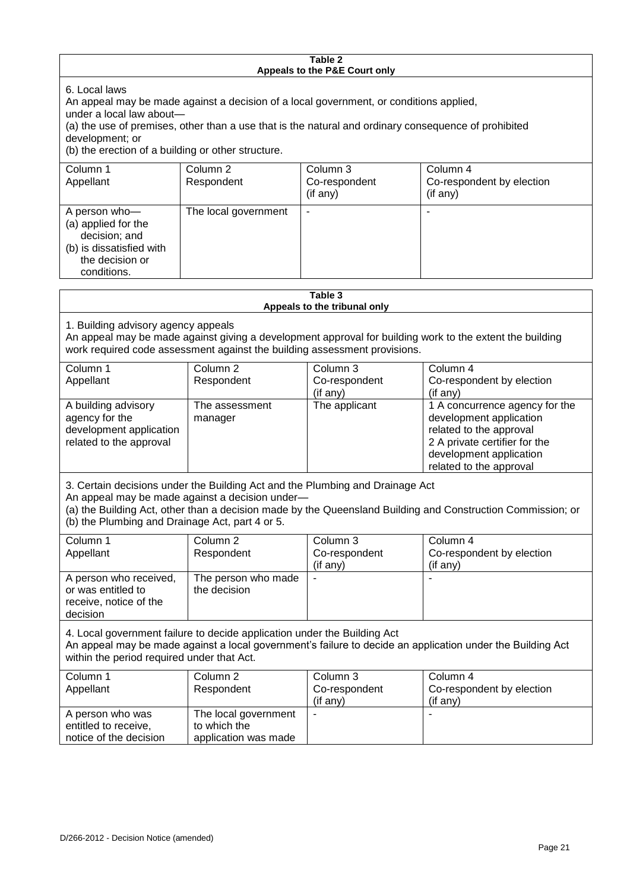#### **Table 2 Appeals to the P&E Court only** 6. Local laws An appeal may be made against a decision of a local government, or conditions applied, under a local law about— (a) the use of premises, other than a use that is the natural and ordinary consequence of prohibited development; or (b) the erection of a building or other structure. Column 1 Appellant Column 2 Respondent Column 3 Co-respondent (if any) Column 4 Co-respondent by election (if any) A person who— (a) applied for the decision; and (b) is dissatisfied with the decision or conditions. The local government **Table 3 Appeals to the tribunal only** 1. Building advisory agency appeals An appeal may be made against giving a development approval for building work to the extent the building work required code assessment against the building assessment provisions. Column 1 Appellant Column 2 Respondent Column 3 Co-respondent (if any) Column 4 Co-respondent by election (if any) A building advisory agency for the development application related to the approval The assessment manager The applicant  $\vert$  1 A concurrence agency for the development application related to the approval 2 A private certifier for the development application related to the approval

3. Certain decisions under the Building Act and the Plumbing and Drainage Act An appeal may be made against a decision under—

(a) the Building Act, other than a decision made by the Queensland Building and Construction Commission; or (b) the Plumbing and Drainage Act, part 4 or 5.

| Column 1               | Column 2            | Column 3      | Column 4                  |
|------------------------|---------------------|---------------|---------------------------|
| Appellant              | Respondent          | Co-respondent | Co-respondent by election |
|                        |                     | (if any)      | (if any)                  |
| A person who received, | The person who made | -             |                           |
| or was entitled to     | the decision        |               |                           |
| receive, notice of the |                     |               |                           |
| decision               |                     |               |                           |

4. Local government failure to decide application under the Building Act An appeal may be made against a local government's failure to decide an application under the Building Act within the period required under that Act.

| Column 1               | Column 2             | Column 3                 | Column 4                  |
|------------------------|----------------------|--------------------------|---------------------------|
| Appellant              | Respondent           | Co-respondent            | Co-respondent by election |
|                        |                      | $($ if any $)$           | $($ if any $)$            |
| A person who was       | The local government | $\overline{\phantom{a}}$ |                           |
| entitled to receive,   | to which the         |                          |                           |
| notice of the decision | application was made |                          |                           |